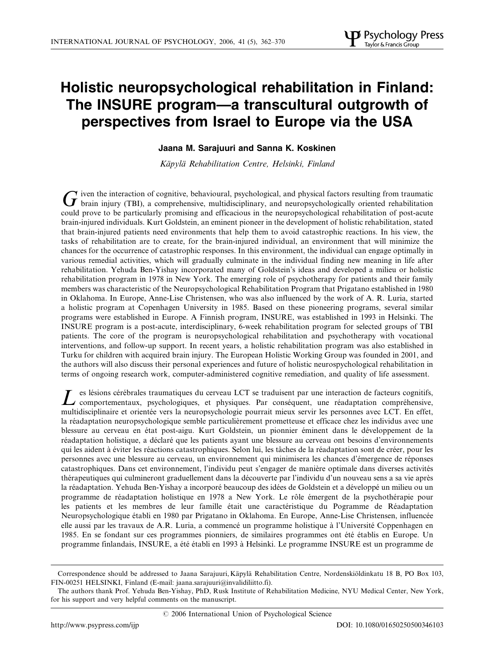# Holistic neuropsychological rehabilitation in Finland: The INSURE program—a transcultural outgrowth of perspectives from Israel to Europe via the USA

# Jaana M. Sarajuuri and Sanna K. Koskinen

Käpylä Rehabilitation Centre, Helsinki, Finland

G iven the interaction of cognitive, behavioural, psychological, and physical factors resulting from traumatic<br>brain injury (TBI), a comprehensive, multidisciplinary, and neuropsychologically oriented rehabilitation could prove to be particularly promising and efficacious in the neuropsychological rehabilitation of post-acute brain-injured individuals. Kurt Goldstein, an eminent pioneer in the development of holistic rehabilitation, stated that brain-injured patients need environments that help them to avoid catastrophic reactions. In his view, the tasks of rehabilitation are to create, for the brain-injured individual, an environment that will minimize the chances for the occurrence of catastrophic responses. In this environment, the individual can engage optimally in various remedial activities, which will gradually culminate in the individual finding new meaning in life after rehabilitation. Yehuda Ben-Yishay incorporated many of Goldstein's ideas and developed a milieu or holistic rehabilitation program in 1978 in New York. The emerging role of psychotherapy for patients and their family members was characteristic of the Neuropsychological Rehabilitation Program that Prigatano established in 1980 in Oklahoma. In Europe, Anne-Lise Christensen, who was also influenced by the work of A. R. Luria, started a holistic program at Copenhagen University in 1985. Based on these pioneering programs, several similar programs were established in Europe. A Finnish program, INSURE, was established in 1993 in Helsinki. The INSURE program is a post-acute, interdisciplinary, 6-week rehabilitation program for selected groups of TBI patients. The core of the program is neuropsychological rehabilitation and psychotherapy with vocational interventions, and follow-up support. In recent years, a holistic rehabilitation program was also established in Turku for children with acquired brain injury. The European Holistic Working Group was founded in 2001, and the authors will also discuss their personal experiences and future of holistic neurospychological rehabilitation in terms of ongoing research work, computer-administered cognitive remediation, and quality of life assessment.

L es lésions cérébrales traumatiques du cerveau LCT se traduisent par une interaction de facteurs cognitifs, comportementaux, psychologiques, et physiques. Par conséquent, une réadaptation compréhensive, multidisciplinaire et orientée vers la neuropsychologie pourrait mieux servir les personnes avec LCT. En effet, la réadaptation neuropsychologique semble particulièrement prometteuse et efficace chez les individus avec une blessure au cerveau en état post-aigu. Kurt Goldstein, un pionnier éminent dans le développement de la réadaptation holistique, a déclaré que les patients ayant une blessure au cerveau ont besoins d'environnements qui les aident à éviter les réactions catastrophiques. Selon lui, les tâches de la réadaptation sont de créer, pour les personnes avec une blessure au cerveau, un environnement qui minimisera les chances d'émergence de réponses catastrophiques. Dans cet environnement, l'individu peut s'engager de manière optimale dans diverses activités thérapeutiques qui culmineront graduellement dans la découverte par l'individu d'un nouveau sens a sa vie après la réadaptation. Yehuda Ben-Yishay a incorporé beaucoup des idées de Goldstein et a développé un milieu ou un programme de réadaptation holistique en 1978 a New York. Le rôle émergent de la psychothérapie pour les patients et les membres de leur famille était une caractéristique du Pogramme de Réadaptation Neuropsychologique établi en 1980 par Prigatano in Oklahoma. En Europe, Anne-Lise Christensen, influencée elle aussi par les travaux de A.R. Luria, a commencé un programme holistique à l'Université Coppenhagen en 1985. En se fondant sur ces programmes pionniers, de similaires programmes ont été établis en Europe. Un programme finlandais, INSURE, a été établi en 1993 à Helsinki. Le programme INSURE est un programme de

 $\oslash$  2006 International Union of Psychological Science

Correspondence should be addressed to Jaana Sarajuuri, Käpylä Rehabilitation Centre, Nordenskiöldinkatu 18 B, PO Box 103, FIN-00251 HELSINKI, Finland (E-mail: jaana.sarajuuri@invalidiliitto.fi).

The authors thank Prof. Yehuda Ben-Yishay, PhD, Rusk Institute of Rehabilitation Medicine, NYU Medical Center, New York, for his support and very helpful comments on the manuscript.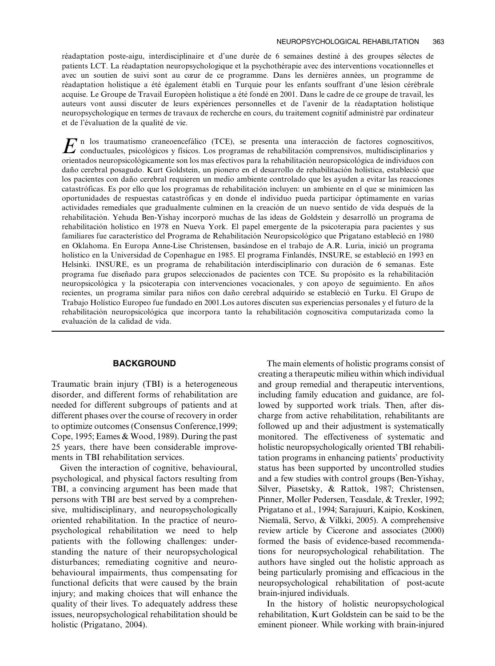réadaptation poste-aigu, interdisciplinaire et d'une durée de 6 semaines destiné à des groupes sélectes de patients LCT. La réadaptation neuropsychologique et la psychothérapie avec des interventions vocationnelles et avec un soutien de suivi sont au cœur de ce programme. Dans les dernières années, un programme de réadaptation holistique a été également établi en Turquie pour les enfants souffrant d'une lésion cérébrale acquise. Le Groupe de Travail Européen holistique a été fondé en 2001. Dans le cadre de ce groupe de travail, les auteurs vont aussi discuter de leurs expériences personnelles et de l'avenir de la réadaptation holistique neuropsychologique en termes de travaux de recherche en cours, du traitement cognitif administré par ordinateur et de l'évaluation de la qualité de vie.

 $E$ <sup>n</sup> los traumatismo craneoencefálico (TCE), se presenta una interacción de factores cognoscitivos, multidisciplinarios y conductuales, psicológicos y físicos. Los programas de rehabilitación comprensivos, multidiscipli orientados neuropsicolo´gicamente son los mas efectivos para la rehabilitacio´n neuropsicolo´gica de individuos con daño cerebral posagudo. Kurt Goldstein, un pionero en el desarrollo de rehabilitación holística, estableció que los pacientes con daño cerebral requieren un medio ambiente controlado que les ayuden a evitar las reacciones catastróficas. Es por ello que los programas de rehabilitación incluyen: un ambiente en el que se minimicen las oportunidades de respuestas catastro´ficas y en donde el individuo pueda participar o´ptimamente en varias actividades remediales que gradualmente culminen en la creación de un nuevo sentido de vida después de la rehabilitación. Yehuda Ben-Yishay incorporó muchas de las ideas de Goldstein y desarrolló un programa de rehabilitación holístico en 1978 en Nueva York. El papel emergente de la psicoterapia para pacientes y sus familiares fue característico del Programa de Rehabilitación Neuropsicológico que Prigatano estableció en 1980 en Oklahoma. En Europa Anne-Lise Christensen, basándose en el trabajo de A.R. Luria, inició un programa holístico en la Universidad de Copenhague en 1985. El programa Finlandés, INSURE, se estableció en 1993 en Helsinki. INSURE, es un programa de rehabilitación interdisciplinario con duración de 6 semanas. Este programa fue diseñado para grupos seleccionados de pacientes con TCE. Su propósito es la rehabilitación neuropsicológica y la psicoterapia con intervenciones vocacionales, y con apoyo de seguimiento. En años recientes, un programa similar para niños con daño cerebral adquirido se estableció en Turku. El Grupo de Trabajo Holístico Europeo fue fundado en 2001.Los autores discuten sus experiencias personales y el futuro de la rehabilitación neuropsicológica que incorpora tanto la rehabilitación cognoscitiva computarizada como la evaluación de la calidad de vida.

#### **BACKGROUND**

Traumatic brain injury (TBI) is a heterogeneous disorder, and different forms of rehabilitation are needed for different subgroups of patients and at different phases over the course of recovery in order to optimize outcomes (Consensus Conference,1999; Cope, 1995; Eames & Wood, 1989). During the past 25 years, there have been considerable improvements in TBI rehabilitation services.

Given the interaction of cognitive, behavioural, psychological, and physical factors resulting from TBI, a convincing argument has been made that persons with TBI are best served by a comprehensive, multidisciplinary, and neuropsychologically oriented rehabilitation. In the practice of neuropsychological rehabilitation we need to help patients with the following challenges: understanding the nature of their neuropsychological disturbances; remediating cognitive and neurobehavioural impairments, thus compensating for functional deficits that were caused by the brain injury; and making choices that will enhance the quality of their lives. To adequately address these issues, neuropsychological rehabilitation should be holistic (Prigatano, 2004).

The main elements of holistic programs consist of creating a therapeutic milieu within which individual and group remedial and therapeutic interventions, including family education and guidance, are followed by supported work trials. Then, after discharge from active rehabilitation, rehabilitants are followed up and their adjustment is systematically monitored. The effectiveness of systematic and holistic neuropsychologically oriented TBI rehabilitation programs in enhancing patients' productivity status has been supported by uncontrolled studies and a few studies with control groups (Ben-Yishay, Silver, Piasetsky, & Rattok, 1987; Christensen, Pinner, Moller Pedersen, Teasdale, & Trexler, 1992; Prigatano et al., 1994; Sarajuuri, Kaipio, Koskinen, Niemalä, Servo, & Vilkki, 2005). A comprehensive review article by Cicerone and associates (2000) formed the basis of evidence-based recommendations for neuropsychological rehabilitation. The authors have singled out the holistic approach as being particularly promising and efficacious in the neuropsychological rehabilitation of post-acute brain-injured individuals.

In the history of holistic neuropsychological rehabilitation, Kurt Goldstein can be said to be the eminent pioneer. While working with brain-injured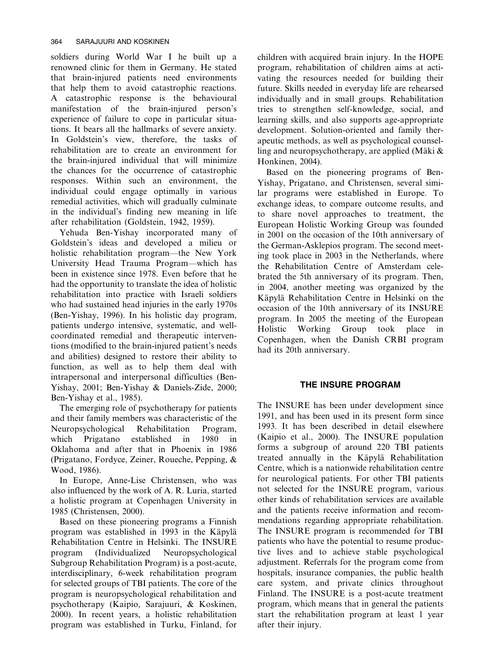soldiers during World War I he built up a renowned clinic for them in Germany. He stated that brain-injured patients need environments that help them to avoid catastrophic reactions. A catastrophic response is the behavioural manifestation of the brain-injured person's experience of failure to cope in particular situations. It bears all the hallmarks of severe anxiety. In Goldstein's view, therefore, the tasks of rehabilitation are to create an environment for the brain-injured individual that will minimize the chances for the occurrence of catastrophic responses. Within such an environment, the individual could engage optimally in various remedial activities, which will gradually culminate in the individual's finding new meaning in life after rehabilitation (Goldstein, 1942, 1959).

Yehuda Ben-Yishay incorporated many of Goldstein's ideas and developed a milieu or holistic rehabilitation program—the New York University Head Trauma Program—which has been in existence since 1978. Even before that he had the opportunity to translate the idea of holistic rehabilitation into practice with Israeli soldiers who had sustained head injuries in the early 1970s (Ben-Yishay, 1996). In his holistic day program, patients undergo intensive, systematic, and wellcoordinated remedial and therapeutic interventions (modified to the brain-injured patient's needs and abilities) designed to restore their ability to function, as well as to help them deal with intrapersonal and interpersonal difficulties (Ben-Yishay, 2001; Ben-Yishay & Daniels-Zide, 2000; Ben-Yishay et al., 1985).

The emerging role of psychotherapy for patients and their family members was characteristic of the Neuropsychological Rehabilitation Program, which Prigatano established in 1980 in Oklahoma and after that in Phoenix in 1986 (Prigatano, Fordyce, Zeiner, Roueche, Pepping, & Wood, 1986).

In Europe, Anne-Lise Christensen, who was also influenced by the work of A. R. Luria, started a holistic program at Copenhagen University in 1985 (Christensen, 2000).

Based on these pioneering programs a Finnish program was established in 1993 in the Käpylä Rehabilitation Centre in Helsinki. The INSURE program (Individualized Neuropsychological Subgroup Rehabilitation Program) is a post-acute, interdisciplinary, 6-week rehabilitation program for selected groups of TBI patients. The core of the program is neuropsychological rehabilitation and psychotherapy (Kaipio, Sarajuuri, & Koskinen, 2000). In recent years, a holistic rehabilitation program was established in Turku, Finland, for children with acquired brain injury. In the HOPE program, rehabilitation of children aims at activating the resources needed for building their future. Skills needed in everyday life are rehearsed individually and in small groups. Rehabilitation tries to strengthen self-knowledge, social, and learning skills, and also supports age-appropriate development. Solution-oriented and family therapeutic methods, as well as psychological counselling and neuropsychotherapy, are applied (Mäki  $&$ Honkinen, 2004).

Based on the pioneering programs of Ben-Yishay, Prigatano, and Christensen, several similar programs were established in Europe. To exchange ideas, to compare outcome results, and to share novel approaches to treatment, the European Holistic Working Group was founded in 2001 on the occasion of the 10th anniversary of the German-Asklepios program. The second meeting took place in 2003 in the Netherlands, where the Rehabilitation Centre of Amsterdam celebrated the 5th anniversary of its program. Then, in 2004, another meeting was organized by the Käpylä Rehabilitation Centre in Helsinki on the occasion of the 10th anniversary of its INSURE program. In 2005 the meeting of the European Holistic Working Group took place in Copenhagen, when the Danish CRBI program had its 20th anniversary.

# THE INSURE PROGRAM

The INSURE has been under development since 1991, and has been used in its present form since 1993. It has been described in detail elsewhere (Kaipio et al., 2000). The INSURE population forms a subgroup of around 220 TBI patients treated annually in the Käpylä Rehabilitation Centre, which is a nationwide rehabilitation centre for neurological patients. For other TBI patients not selected for the INSURE program, various other kinds of rehabilitation services are available and the patients receive information and recommendations regarding appropriate rehabilitation. The INSURE program is recommended for TBI patients who have the potential to resume productive lives and to achieve stable psychological adjustment. Referrals for the program come from hospitals, insurance companies, the public health care system, and private clinics throughout Finland. The INSURE is a post-acute treatment program, which means that in general the patients start the rehabilitation program at least 1 year after their injury.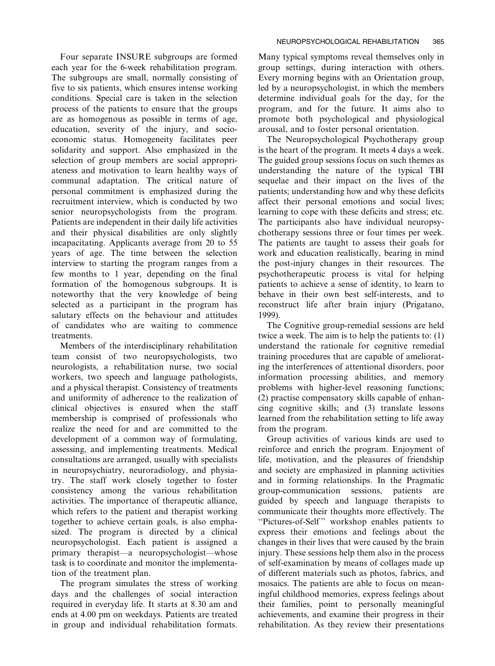Four separate INSURE subgroups are formed each year for the 6-week rehabilitation program. The subgroups are small, normally consisting of five to six patients, which ensures intense working conditions. Special care is taken in the selection process of the patients to ensure that the groups are as homogenous as possible in terms of age, education, severity of the injury, and socioeconomic status. Homogeneity facilitates peer solidarity and support. Also emphasized in the selection of group members are social appropriateness and motivation to learn healthy ways of communal adaptation. The critical nature of personal commitment is emphasized during the recruitment interview, which is conducted by two senior neuropsychologists from the program. Patients are independent in their daily life activities and their physical disabilities are only slightly incapacitating. Applicants average from 20 to 55 years of age. The time between the selection interview to starting the program ranges from a few months to 1 year, depending on the final formation of the homogenous subgroups. It is noteworthy that the very knowledge of being selected as a participant in the program has salutary effects on the behaviour and attitudes of candidates who are waiting to commence treatments.

Members of the interdisciplinary rehabilitation team consist of two neuropsychologists, two neurologists, a rehabilitation nurse, two social workers, two speech and language pathologists, and a physical therapist. Consistency of treatments and uniformity of adherence to the realization of clinical objectives is ensured when the staff membership is comprised of professionals who realize the need for and are committed to the development of a common way of formulating, assessing, and implementing treatments. Medical consultations are arranged, usually with specialists in neuropsychiatry, neuroradiology, and physiatry. The staff work closely together to foster consistency among the various rehabilitation activities. The importance of therapeutic alliance, which refers to the patient and therapist working together to achieve certain goals, is also emphasized. The program is directed by a clinical neuropsychologist. Each patient is assigned a primary therapist—a neuropsychologist—whose task is to coordinate and monitor the implementation of the treatment plan.

The program simulates the stress of working days and the challenges of social interaction required in everyday life. It starts at 8.30 am and ends at 4.00 pm on weekdays. Patients are treated in group and individual rehabilitation formats.

Many typical symptoms reveal themselves only in group settings, during interaction with others. Every morning begins with an Orientation group, led by a neuropsychologist, in which the members determine individual goals for the day, for the program, and for the future. It aims also to promote both psychological and physiological arousal, and to foster personal orientation.

The Neuropsychological Psychotherapy group is the heart of the program. It meets 4 days a week. The guided group sessions focus on such themes as understanding the nature of the typical TBI sequelae and their impact on the lives of the patients; understanding how and why these deficits affect their personal emotions and social lives; learning to cope with these deficits and stress; etc. The participants also have individual neuropsychotherapy sessions three or four times per week. The patients are taught to assess their goals for work and education realistically, bearing in mind the post-injury changes in their resources. The psychotherapeutic process is vital for helping patients to achieve a sense of identity, to learn to behave in their own best self-interests, and to reconstruct life after brain injury (Prigatano, 1999).

The Cognitive group-remedial sessions are held twice a week. The aim is to help the patients to: (1) understand the rationale for cognitive remedial training procedures that are capable of ameliorating the interferences of attentional disorders, poor information processing abilities, and memory problems with higher-level reasoning functions; (2) practise compensatory skills capable of enhancing cognitive skills; and (3) translate lessons learned from the rehabilitation setting to life away from the program.

Group activities of various kinds are used to reinforce and enrich the program. Enjoyment of life, motivation, and the pleasures of friendship and society are emphasized in planning activities and in forming relationships. In the Pragmatic group-communication sessions, patients are guided by speech and language therapists to communicate their thoughts more effectively. The "Pictures-of-Self" workshop enables patients to express their emotions and feelings about the changes in their lives that were caused by the brain injury. These sessions help them also in the process of self-examination by means of collages made up of different materials such as photos, fabrics, and mosaics. The patients are able to focus on meaningful childhood memories, express feelings about their families, point to personally meaningful achievements, and examine their progress in their rehabilitation. As they review their presentations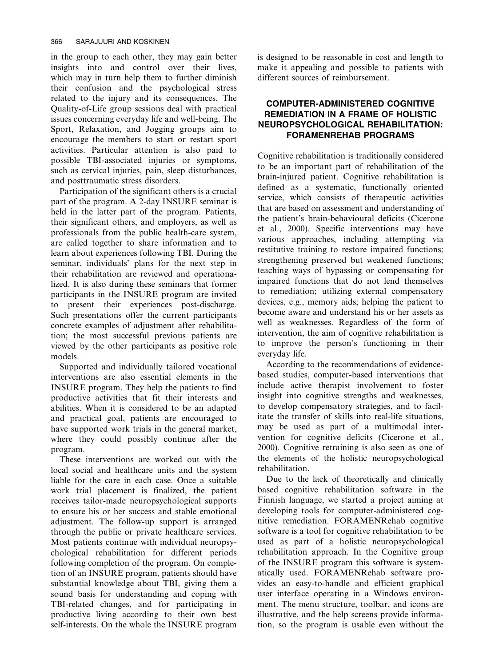in the group to each other, they may gain better insights into and control over their lives, which may in turn help them to further diminish their confusion and the psychological stress related to the injury and its consequences. The Quality-of-Life group sessions deal with practical issues concerning everyday life and well-being. The Sport, Relaxation, and Jogging groups aim to encourage the members to start or restart sport activities. Particular attention is also paid to possible TBI-associated injuries or symptoms, such as cervical injuries, pain, sleep disturbances, and posttraumatic stress disorders.

Participation of the significant others is a crucial part of the program. A 2-day INSURE seminar is held in the latter part of the program. Patients, their significant others, and employers, as well as professionals from the public health-care system, are called together to share information and to learn about experiences following TBI. During the seminar, individuals' plans for the next step in their rehabilitation are reviewed and operationalized. It is also during these seminars that former participants in the INSURE program are invited to present their experiences post-discharge. Such presentations offer the current participants concrete examples of adjustment after rehabilitation; the most successful previous patients are viewed by the other participants as positive role models.

Supported and individually tailored vocational interventions are also essential elements in the INSURE program. They help the patients to find productive activities that fit their interests and abilities. When it is considered to be an adapted and practical goal, patients are encouraged to have supported work trials in the general market, where they could possibly continue after the program.

These interventions are worked out with the local social and healthcare units and the system liable for the care in each case. Once a suitable work trial placement is finalized, the patient receives tailor-made neuropsychological supports to ensure his or her success and stable emotional adjustment. The follow-up support is arranged through the public or private healthcare services. Most patients continue with individual neuropsychological rehabilitation for different periods following completion of the program. On completion of an INSURE program, patients should have substantial knowledge about TBI, giving them a sound basis for understanding and coping with TBI-related changes, and for participating in productive living according to their own best self-interests. On the whole the INSURE program is designed to be reasonable in cost and length to make it appealing and possible to patients with different sources of reimbursement.

# COMPUTER-ADMINISTERED COGNITIVE REMEDIATION IN A FRAME OF HOLISTIC NEUROPSYCHOLOGICAL REHABILITATION: FORAMENREHAB PROGRAMS

Cognitive rehabilitation is traditionally considered to be an important part of rehabilitation of the brain-injured patient. Cognitive rehabilitation is defined as a systematic, functionally oriented service, which consists of therapeutic activities that are based on assessment and understanding of the patient's brain-behavioural deficits (Cicerone et al., 2000). Specific interventions may have various approaches, including attempting via restitutive training to restore impaired functions; strengthening preserved but weakened functions; teaching ways of bypassing or compensating for impaired functions that do not lend themselves to remediation; utilizing external compensatory devices, e.g., memory aids; helping the patient to become aware and understand his or her assets as well as weaknesses. Regardless of the form of intervention, the aim of cognitive rehabilitation is to improve the person's functioning in their everyday life.

According to the recommendations of evidencebased studies, computer-based interventions that include active therapist involvement to foster insight into cognitive strengths and weaknesses, to develop compensatory strategies, and to facilitate the transfer of skills into real-life situations, may be used as part of a multimodal intervention for cognitive deficits (Cicerone et al., 2000). Cognitive retraining is also seen as one of the elements of the holistic neuropsychological rehabilitation.

Due to the lack of theoretically and clinically based cognitive rehabilitation software in the Finnish language, we started a project aiming at developing tools for computer-administered cognitive remediation. FORAMENRehab cognitive software is a tool for cognitive rehabilitation to be used as part of a holistic neuropsychological rehabilitation approach. In the Cognitive group of the INSURE program this software is systematically used. FORAMENRehab software provides an easy-to-handle and efficient graphical user interface operating in a Windows environment. The menu structure, toolbar, and icons are illustrative, and the help screens provide information, so the program is usable even without the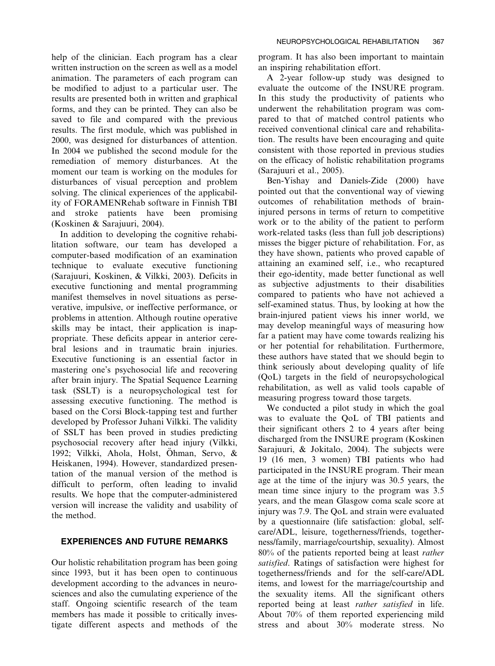help of the clinician. Each program has a clear written instruction on the screen as well as a model animation. The parameters of each program can be modified to adjust to a particular user. The results are presented both in written and graphical forms, and they can be printed. They can also be saved to file and compared with the previous results. The first module, which was published in 2000, was designed for disturbances of attention. In 2004 we published the second module for the remediation of memory disturbances. At the moment our team is working on the modules for disturbances of visual perception and problem solving. The clinical experiences of the applicability of FORAMENRehab software in Finnish TBI and stroke patients have been promising (Koskinen & Sarajuuri, 2004).

In addition to developing the cognitive rehabilitation software, our team has developed a computer-based modification of an examination technique to evaluate executive functioning (Sarajuuri, Koskinen, & Vilkki, 2003). Deficits in executive functioning and mental programming manifest themselves in novel situations as perseverative, impulsive, or ineffective performance, or problems in attention. Although routine operative skills may be intact, their application is inappropriate. These deficits appear in anterior cerebral lesions and in traumatic brain injuries. Executive functioning is an essential factor in mastering one's psychosocial life and recovering after brain injury. The Spatial Sequence Learning task (SSLT) is a neuropsychological test for assessing executive functioning. The method is based on the Corsi Block-tapping test and further developed by Professor Juhani Vilkki. The validity of SSLT has been proved in studies predicting psychosocial recovery after head injury (Vilkki, 1992; Vilkki, Ahola, Holst, Öhman, Servo, & Heiskanen, 1994). However, standardized presentation of the manual version of the method is difficult to perform, often leading to invalid results. We hope that the computer-administered version will increase the validity and usability of the method.

### EXPERIENCES AND FUTURE REMARKS

Our holistic rehabilitation program has been going since 1993, but it has been open to continuous development according to the advances in neurosciences and also the cumulating experience of the staff. Ongoing scientific research of the team members has made it possible to critically investigate different aspects and methods of the program. It has also been important to maintain an inspiring rehabilitation effort.

A 2-year follow-up study was designed to evaluate the outcome of the INSURE program. In this study the productivity of patients who underwent the rehabilitation program was compared to that of matched control patients who received conventional clinical care and rehabilitation. The results have been encouraging and quite consistent with those reported in previous studies on the efficacy of holistic rehabilitation programs (Sarajuuri et al., 2005).

Ben-Yishay and Daniels-Zide (2000) have pointed out that the conventional way of viewing outcomes of rehabilitation methods of braininjured persons in terms of return to competitive work or to the ability of the patient to perform work-related tasks (less than full job descriptions) misses the bigger picture of rehabilitation. For, as they have shown, patients who proved capable of attaining an examined self, i.e., who recaptured their ego-identity, made better functional as well as subjective adjustments to their disabilities compared to patients who have not achieved a self-examined status. Thus, by looking at how the brain-injured patient views his inner world, we may develop meaningful ways of measuring how far a patient may have come towards realizing his or her potential for rehabilitation. Furthermore, these authors have stated that we should begin to think seriously about developing quality of life (QoL) targets in the field of neuropsychological rehabilitation, as well as valid tools capable of measuring progress toward those targets.

We conducted a pilot study in which the goal was to evaluate the QoL of TBI patients and their significant others 2 to 4 years after being discharged from the INSURE program (Koskinen Sarajuuri, & Jokitalo, 2004). The subjects were 19 (16 men, 3 women) TBI patients who had participated in the INSURE program. Their mean age at the time of the injury was 30.5 years, the mean time since injury to the program was 3.5 years, and the mean Glasgow coma scale score at injury was 7.9. The QoL and strain were evaluated by a questionnaire (life satisfaction: global, selfcare/ADL, leisure, togetherness/friends, togetherness/family, marriage/courtship, sexuality). Almost 80% of the patients reported being at least rather satisfied. Ratings of satisfaction were highest for togetherness/friends and for the self-care/ADL items, and lowest for the marriage/courtship and the sexuality items. All the significant others reported being at least rather satisfied in life. About 70% of them reported experiencing mild stress and about 30% moderate stress. No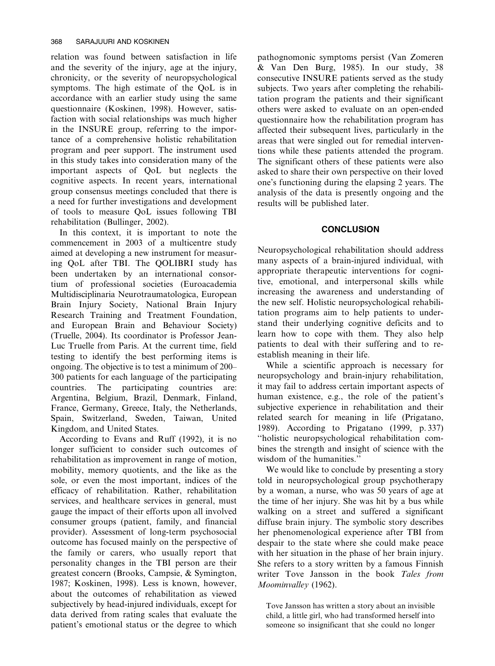relation was found between satisfaction in life and the severity of the injury, age at the injury, chronicity, or the severity of neuropsychological symptoms. The high estimate of the QoL is in accordance with an earlier study using the same questionnaire (Koskinen, 1998). However, satisfaction with social relationships was much higher in the INSURE group, referring to the importance of a comprehensive holistic rehabilitation program and peer support. The instrument used in this study takes into consideration many of the important aspects of QoL but neglects the cognitive aspects. In recent years, international group consensus meetings concluded that there is a need for further investigations and development of tools to measure QoL issues following TBI rehabilitation (Bullinger, 2002).

In this context, it is important to note the commencement in 2003 of a multicentre study aimed at developing a new instrument for measuring QoL after TBI. The QOLIBRI study has been undertaken by an international consortium of professional societies (Euroacademia Multidisciplinaria Neurotraumatologica, European Brain Injury Society, National Brain Injury Research Training and Treatment Foundation, and European Brain and Behaviour Society) (Truelle, 2004). Its coordinator is Professor Jean-Luc Truelle from Paris. At the current time, field testing to identify the best performing items is ongoing. The objective is to test a minimum of 200– 300 patients for each language of the participating countries. The participating countries are: Argentina, Belgium, Brazil, Denmark, Finland, France, Germany, Greece, Italy, the Netherlands, Spain, Switzerland, Sweden, Taiwan, United Kingdom, and United States.

According to Evans and Ruff (1992), it is no longer sufficient to consider such outcomes of rehabilitation as improvement in range of motion, mobility, memory quotients, and the like as the sole, or even the most important, indices of the efficacy of rehabilitation. Rather, rehabilitation services, and healthcare services in general, must gauge the impact of their efforts upon all involved consumer groups (patient, family, and financial provider). Assessment of long-term psychosocial outcome has focused mainly on the perspective of the family or carers, who usually report that personality changes in the TBI person are their greatest concern (Brooks, Campsie, & Symington, 1987; Koskinen, 1998). Less is known, however, about the outcomes of rehabilitation as viewed subjectively by head-injured individuals, except for data derived from rating scales that evaluate the patient's emotional status or the degree to which pathognomonic symptoms persist (Van Zomeren & Van Den Burg, 1985). In our study, 38 consecutive INSURE patients served as the study subjects. Two years after completing the rehabilitation program the patients and their significant others were asked to evaluate on an open-ended questionnaire how the rehabilitation program has affected their subsequent lives, particularly in the areas that were singled out for remedial interventions while these patients attended the program. The significant others of these patients were also asked to share their own perspective on their loved one's functioning during the elapsing 2 years. The analysis of the data is presently ongoing and the results will be published later.

### **CONCLUSION**

Neuropsychological rehabilitation should address many aspects of a brain-injured individual, with appropriate therapeutic interventions for cognitive, emotional, and interpersonal skills while increasing the awareness and understanding of the new self. Holistic neuropsychological rehabilitation programs aim to help patients to understand their underlying cognitive deficits and to learn how to cope with them. They also help patients to deal with their suffering and to reestablish meaning in their life.

While a scientific approach is necessary for neuropsychology and brain-injury rehabilitation, it may fail to address certain important aspects of human existence, e.g., the role of the patient's subjective experience in rehabilitation and their related search for meaning in life (Prigatano, 1989). According to Prigatano (1999, p. 337) ''holistic neuropsychological rehabilitation combines the strength and insight of science with the wisdom of the humanities.''

We would like to conclude by presenting a story told in neuropsychological group psychotherapy by a woman, a nurse, who was 50 years of age at the time of her injury. She was hit by a bus while walking on a street and suffered a significant diffuse brain injury. The symbolic story describes her phenomenological experience after TBI from despair to the state where she could make peace with her situation in the phase of her brain injury. She refers to a story written by a famous Finnish writer Tove Jansson in the book Tales from Moominvalley (1962).

Tove Jansson has written a story about an invisible child, a little girl, who had transformed herself into someone so insignificant that she could no longer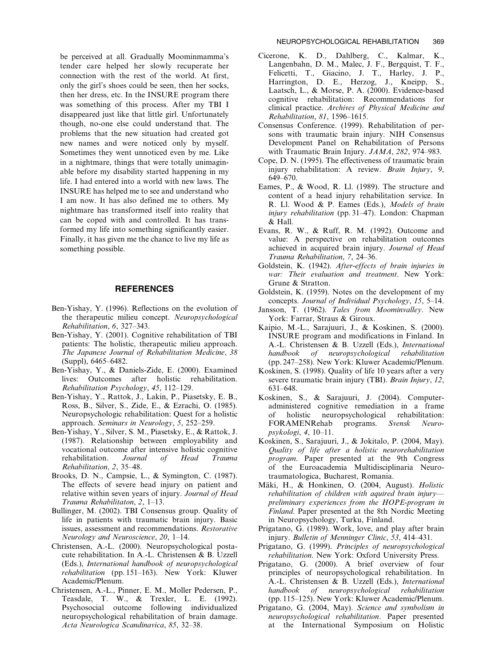be perceived at all. Gradually Moominmamma's tender care helped her slowly recuperate her connection with the rest of the world. At first, only the girl's shoes could be seen, then her socks, then her dress, etc. In the INSURE program there was something of this process. After my TBI I disappeared just like that little girl. Unfortunately though, no-one else could understand that. The problems that the new situation had created got new names and were noticed only by myself. Sometimes they went unnoticed even by me. Like in a nightmare, things that were totally unimaginable before my disability started happening in my life. I had entered into a world with new laws. The INSURE has helped me to see and understand who I am now. It has also defined me to others. My nightmare has transformed itself into reality that can be coped with and controlled. It has transformed my life into something significantly easier. Finally, it has given me the chance to live my life as something possible.

#### **REFERENCES**

- Ben-Yishay, Y. (1996). Reflections on the evolution of the therapeutic milieu concept. Neuropsychological Rehabilitation, 6, 327–343.
- Ben-Yishay, Y. (2001). Cognitive rehabilitation of TBI patients: The holistic, therapeutic milieu approach. The Japanese Journal of Rehabilitation Medicine, 38 (Suppl), 6465–6482.
- Ben-Yishay, Y., & Daniels-Zide, E. (2000). Examined lives: Outcomes after holistic rehabilitation. Rehabilitation Psychology, 45, 112–129.
- Ben-Yishay, Y., Rattok, J., Lakin, P., Piasetsky, E. B., Ross, B., Silver, S., Zide, E., & Ezrachi, O. (1985). Neuropsychologic rehabilitation: Quest for a holistic approach. Seminars in Neurology, 5, 252–259.
- Ben-Yishay, Y., Silver, S. M., Piasetsky, E., & Rattok, J. (1987). Relationship between employability and vocational outcome after intensive holistic cognitive rehabilitation. Journal of Head Trauma Rehabilitation, 2, 35–48.
- Brooks, D. N., Campsie, L., & Symington, C. (1987). The effects of severe head injury on patient and relative within seven years of injury. Journal of Head Trauma Rehabilitaton, 2, 1–13.
- Bullinger, M. (2002). TBI Consensus group. Quality of life in patients with traumatic brain injury. Basic issues, assessment and recommendations. Restorative Neurology and Neuroscience, 20, 1–14.
- Christensen, A.-L. (2000). Neuropsychological postacute rehabilitation. In A.-L. Christensen & B. Uzzell (Eds.), International handbook of neuropsychological rehabilitation (pp. 151–163). New York: Kluwer Academic/Plenum.
- Christensen, A.-L., Pinner, E. M., Moller Pedersen, P., Teasdale, T. W., & Trexler, L. E. (1992). Psychosocial outcome following individualized neuropsychological rehabilitation of brain damage. Acta Neurologica Scandinavica, 85, 32–38.
- Cicerone, K. D., Dahlberg, C., Kalmar, K., Langenbahn, D. M., Malec, J. F., Bergquist, T. F., Felicetti, T., Giacino, J. T., Harley, J. P., Harrington, D. E., Herzog, J., Kneipp, S., Laatsch, L., & Morse, P. A. (2000). Evidence-based cognitive rehabilitation: Recommendations for clinical practice. Archives of Physical Medicine and Rehabilitation, 81, 1596–1615.
- Consensus Conference. (1999). Rehabilitation of persons with traumatic brain injury. NIH Consensus Development Panel on Rehabilitation of Persons with Traumatic Brain Injury. JAMA, 282, 974–983.
- Cope, D. N. (1995). The effectiveness of traumatic brain injury rehabilitation: A review. Brain Injury, 9, 649–670.
- Eames, P., & Wood, R. Ll. (1989). The structure and content of a head injury rehabilitation service. In R. Ll. Wood & P. Eames (Eds.), Models of brain injury rehabilitation (pp. 31-47). London: Chapman & Hall.
- Evans, R. W., & Ruff, R. M. (1992). Outcome and value: A perspective on rehabilitation outcomes achieved in acquired brain injury. Journal of Head Trauma Rehabilitation, 7, 24–36.
- Goldstein, K. (1942). After-effects of brain injuries in war: Their evaluation and treatment. New York: Grune & Stratton.
- Goldstein, K. (1959). Notes on the development of my concepts. Journal of Individual Psychology, 15, 5–14.
- Jansson, T. (1962). Tales from Moominvalley. New York: Farrar, Straus & Giroux.
- Kaipio, M.-L., Sarajuuri, J., & Koskinen, S. (2000). INSURE program and modifications in Finland. In A.-L. Christensen & B. Uzzell (Eds.), International handbook of neuropsychological rehabilitation (pp. 247–258). New York: Kluwer Academic/Plenum.
- Koskinen, S. (1998). Quality of life 10 years after a very severe traumatic brain injury (TBI). Brain Injury, 12, 631–648.
- Koskinen, S., & Sarajuuri, J. (2004). Computeradministered cognitive remediation in a frame of holistic neuropsychological rehabilitation:<br>FORAMENRehab programs. Svensk Neuro-FORAMENRehab psykologi, 4, 10–11.
- Koskinen, S., Sarajuuri, J., & Jokitalo, P. (2004, May). Quality of life after a holistic neurorehabilitation program. Paper presented at the 9th Congress of the Euroacademia Multidisciplinaria Neurotraumatologica, Bucharest, Romania.
- Mäki, H., & Honkinen, O. (2004, August). Holistic rehabilitation of children with aquired brain injury preliminary experiences from the HOPE-program in Finland. Paper presented at the 8th Nordic Meeting in Neuropsychology, Turku, Finland.
- Prigatano, G. (1989). Work, love, and play after brain injury. Bulletin of Menninger Clinic, 53, 414–431.
- Prigatano, G. (1999). Principles of neuropsychological rehabilitation. New York: Oxford University Press.
- Prigatano, G. (2000). A brief overview of four principles of neuropsychological rehabilitation. In A.-L. Christensen & B. Uzzell (Eds.), International handbook of neuropsychological rehabilitation (pp. 115–125). New York: Kluwer Academic/Plenum.
- Prigatano, G. (2004, May). Science and symbolism in neuropsychological rehabilitation. Paper presented at the International Symposium on Holistic